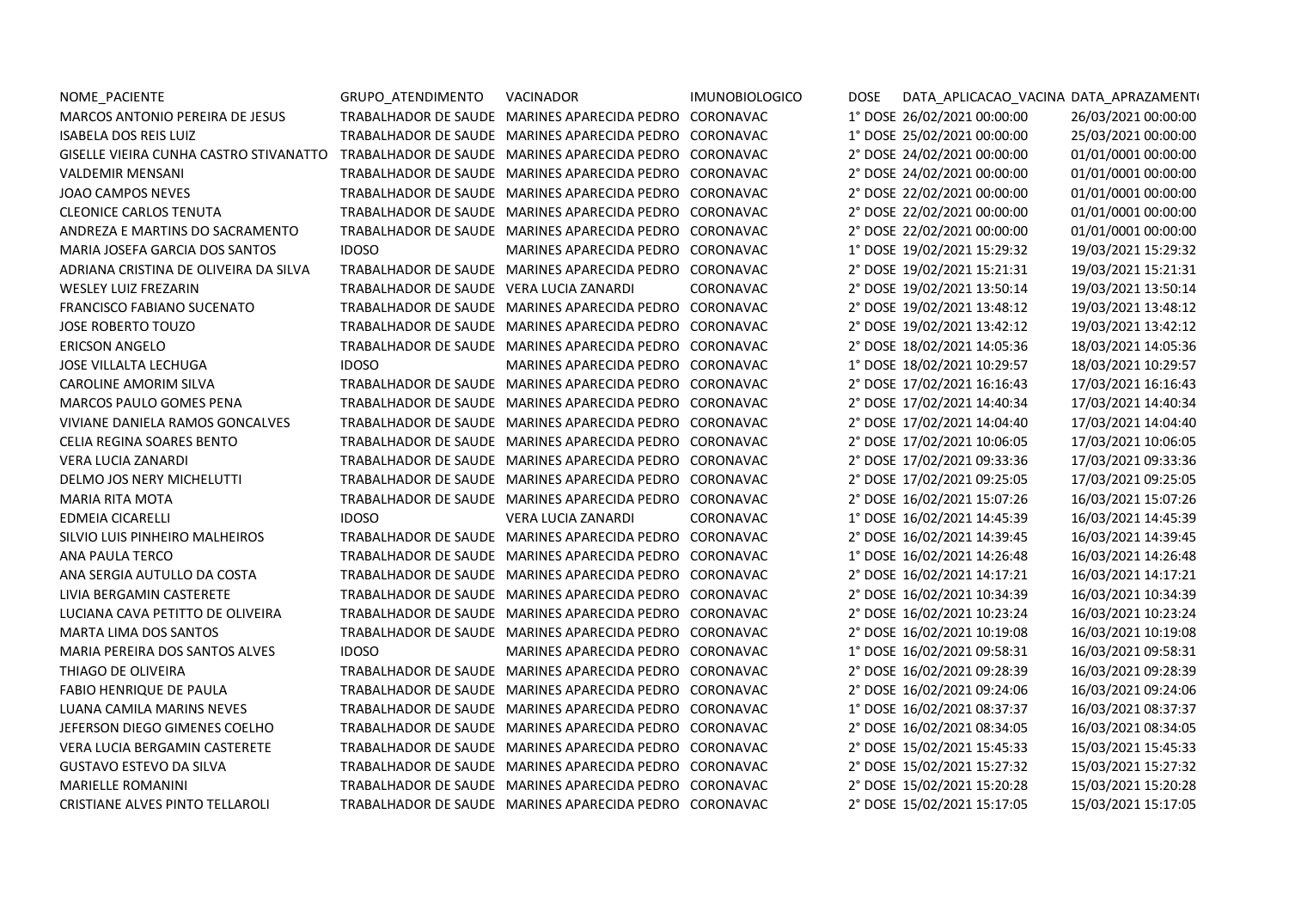| NOME PACIENTE                          | GRUPO ATENDIMENTO                       | VACINADOR                                              | <b>IMUNOBIOLOGICO</b> | <b>DOSE</b> | DATA APLICACAO VACINA DATA APRAZAMENTI |                     |
|----------------------------------------|-----------------------------------------|--------------------------------------------------------|-----------------------|-------------|----------------------------------------|---------------------|
| <b>MARCOS ANTONIO PEREIRA DE JESUS</b> |                                         | TRABALHADOR DE SAUDE MARINES APARECIDA PEDRO           | CORONAVAC             |             | 1° DOSE 26/02/2021 00:00:00            | 26/03/2021 00:00:00 |
| <b>ISABELA DOS REIS LUIZ</b>           |                                         | TRABALHADOR DE SAUDE MARINES APARECIDA PEDRO           | CORONAVAC             |             | 1° DOSE 25/02/2021 00:00:00            | 25/03/2021 00:00:00 |
| GISELLE VIEIRA CUNHA CASTRO STIVANATTO |                                         | TRABALHADOR DE SAUDE MARINES APARECIDA PEDRO CORONAVAC |                       |             | 2° DOSE 24/02/2021 00:00:00            | 01/01/0001 00:00:00 |
| <b>VALDEMIR MENSANI</b>                |                                         | TRABALHADOR DE SAUDE MARINES APARECIDA PEDRO           | CORONAVAC             |             | 2° DOSE 24/02/2021 00:00:00            | 01/01/0001 00:00:00 |
| <b>JOAO CAMPOS NEVES</b>               |                                         | TRABALHADOR DE SAUDE MARINES APARECIDA PEDRO           | CORONAVAC             |             | 2° DOSE 22/02/2021 00:00:00            | 01/01/0001 00:00:00 |
| <b>CLEONICE CARLOS TENUTA</b>          |                                         | TRABALHADOR DE SAUDE MARINES APARECIDA PEDRO           | CORONAVAC             |             | 2° DOSE 22/02/2021 00:00:00            | 01/01/0001 00:00:00 |
| ANDREZA E MARTINS DO SACRAMENTO        |                                         | TRABALHADOR DE SAUDE MARINES APARECIDA PEDRO           | CORONAVAC             |             | 2° DOSE 22/02/2021 00:00:00            | 01/01/0001 00:00:00 |
| MARIA JOSEFA GARCIA DOS SANTOS         | <b>IDOSO</b>                            | MARINES APARECIDA PEDRO                                | CORONAVAC             |             | 1° DOSE 19/02/2021 15:29:32            | 19/03/2021 15:29:32 |
| ADRIANA CRISTINA DE OLIVEIRA DA SILVA  |                                         | TRABALHADOR DE SAUDE MARINES APARECIDA PEDRO CORONAVAC |                       |             | 2° DOSE 19/02/2021 15:21:31            | 19/03/2021 15:21:31 |
| <b>WESLEY LUIZ FREZARIN</b>            | TRABALHADOR DE SAUDE VERA LUCIA ZANARDI |                                                        | CORONAVAC             |             | 2° DOSE 19/02/2021 13:50:14            | 19/03/2021 13:50:14 |
| FRANCISCO FABIANO SUCENATO             |                                         | TRABALHADOR DE SAUDE MARINES APARECIDA PEDRO           | CORONAVAC             |             | 2° DOSE 19/02/2021 13:48:12            | 19/03/2021 13:48:12 |
| <b>JOSE ROBERTO TOUZO</b>              |                                         | TRABALHADOR DE SAUDE MARINES APARECIDA PEDRO           | CORONAVAC             |             | 2° DOSE 19/02/2021 13:42:12            | 19/03/2021 13:42:12 |
| <b>ERICSON ANGELO</b>                  |                                         | TRABALHADOR DE SAUDE MARINES APARECIDA PEDRO           | CORONAVAC             |             | 2° DOSE 18/02/2021 14:05:36            | 18/03/2021 14:05:36 |
| <b>JOSE VILLALTA LECHUGA</b>           | <b>IDOSO</b>                            | MARINES APARECIDA PEDRO                                | CORONAVAC             |             | 1° DOSE 18/02/2021 10:29:57            | 18/03/2021 10:29:57 |
| CAROLINE AMORIM SILVA                  |                                         | TRABALHADOR DE SAUDE MARINES APARECIDA PEDRO           | CORONAVAC             |             | 2° DOSE 17/02/2021 16:16:43            | 17/03/2021 16:16:43 |
| <b>MARCOS PAULO GOMES PENA</b>         |                                         | TRABALHADOR DE SAUDE MARINES APARECIDA PEDRO           | CORONAVAC             |             | 2° DOSE 17/02/2021 14:40:34            | 17/03/2021 14:40:34 |
| VIVIANE DANIELA RAMOS GONCALVES        |                                         | TRABALHADOR DE SAUDE MARINES APARECIDA PEDRO           | CORONAVAC             |             | 2° DOSE 17/02/2021 14:04:40            | 17/03/2021 14:04:40 |
| CELIA REGINA SOARES BENTO              |                                         | TRABALHADOR DE SAUDE MARINES APARECIDA PEDRO           | CORONAVAC             |             | 2° DOSE 17/02/2021 10:06:05            | 17/03/2021 10:06:05 |
| <b>VERA LUCIA ZANARDI</b>              |                                         | TRABALHADOR DE SAUDE MARINES APARECIDA PEDRO           | CORONAVAC             |             | 2° DOSE 17/02/2021 09:33:36            | 17/03/2021 09:33:36 |
| DELMO JOS NERY MICHELUTTI              |                                         | TRABALHADOR DE SAUDE MARINES APARECIDA PEDRO           | CORONAVAC             |             | 2° DOSE 17/02/2021 09:25:05            | 17/03/2021 09:25:05 |
| <b>MARIA RITA MOTA</b>                 |                                         | TRABALHADOR DE SAUDE MARINES APARECIDA PEDRO           | CORONAVAC             |             | 2° DOSE 16/02/2021 15:07:26            | 16/03/2021 15:07:26 |
| <b>EDMEIA CICARELLI</b>                | <b>IDOSO</b>                            | <b>VERA LUCIA ZANARDI</b>                              | CORONAVAC             |             | 1° DOSE 16/02/2021 14:45:39            | 16/03/2021 14:45:39 |
| SILVIO LUIS PINHEIRO MALHEIROS         |                                         | TRABALHADOR DE SAUDE MARINES APARECIDA PEDRO           | CORONAVAC             |             | 2° DOSE 16/02/2021 14:39:45            | 16/03/2021 14:39:45 |
| <b>ANA PAULA TERCO</b>                 |                                         | TRABALHADOR DE SAUDE MARINES APARECIDA PEDRO           | CORONAVAC             |             | 1° DOSE 16/02/2021 14:26:48            | 16/03/2021 14:26:48 |
| ANA SERGIA AUTULLO DA COSTA            |                                         | TRABALHADOR DE SAUDE MARINES APARECIDA PEDRO           | CORONAVAC             |             | 2° DOSE 16/02/2021 14:17:21            | 16/03/2021 14:17:21 |
| LIVIA BERGAMIN CASTERETE               |                                         | TRABALHADOR DE SAUDE MARINES APARECIDA PEDRO           | CORONAVAC             |             | 2° DOSE 16/02/2021 10:34:39            | 16/03/2021 10:34:39 |
| LUCIANA CAVA PETITTO DE OLIVEIRA       |                                         | TRABALHADOR DE SAUDE MARINES APARECIDA PEDRO           | CORONAVAC             |             | 2° DOSE 16/02/2021 10:23:24            | 16/03/2021 10:23:24 |
| <b>MARTA LIMA DOS SANTOS</b>           |                                         | TRABALHADOR DE SAUDE MARINES APARECIDA PEDRO           | CORONAVAC             |             | 2° DOSE 16/02/2021 10:19:08            | 16/03/2021 10:19:08 |
| MARIA PEREIRA DOS SANTOS ALVES         | <b>IDOSO</b>                            | MARINES APARECIDA PEDRO                                | CORONAVAC             |             | 1° DOSE 16/02/2021 09:58:31            | 16/03/2021 09:58:31 |
| THIAGO DE OLIVEIRA                     |                                         | TRABALHADOR DE SAUDE MARINES APARECIDA PEDRO           | CORONAVAC             |             | 2° DOSE 16/02/2021 09:28:39            | 16/03/2021 09:28:39 |
| FABIO HENRIQUE DE PAULA                |                                         | TRABALHADOR DE SAUDE MARINES APARECIDA PEDRO           | CORONAVAC             |             | 2° DOSE 16/02/2021 09:24:06            | 16/03/2021 09:24:06 |
| LUANA CAMILA MARINS NEVES              |                                         | TRABALHADOR DE SAUDE MARINES APARECIDA PEDRO           | CORONAVAC             |             | 1° DOSE 16/02/2021 08:37:37            | 16/03/2021 08:37:37 |
| JEFERSON DIEGO GIMENES COELHO          |                                         | TRABALHADOR DE SAUDE MARINES APARECIDA PEDRO           | CORONAVAC             |             | 2° DOSE 16/02/2021 08:34:05            | 16/03/2021 08:34:05 |
| VERA LUCIA BERGAMIN CASTERETE          |                                         | TRABALHADOR DE SAUDE MARINES APARECIDA PEDRO           | CORONAVAC             |             | 2° DOSE 15/02/2021 15:45:33            | 15/03/2021 15:45:33 |
| GUSTAVO ESTEVO DA SILVA                |                                         | TRABALHADOR DE SAUDE MARINES APARECIDA PEDRO           | CORONAVAC             |             | 2° DOSE 15/02/2021 15:27:32            | 15/03/2021 15:27:32 |
| <b>MARIELLE ROMANINI</b>               |                                         | TRABALHADOR DE SAUDE MARINES APARECIDA PEDRO           | CORONAVAC             |             | 2° DOSE 15/02/2021 15:20:28            | 15/03/2021 15:20:28 |
| <b>CRISTIANE ALVES PINTO TELLAROLI</b> |                                         | TRABALHADOR DE SAUDE MARINES APARECIDA PEDRO           | CORONAVAC             |             | 2° DOSE 15/02/2021 15:17:05            | 15/03/2021 15:17:05 |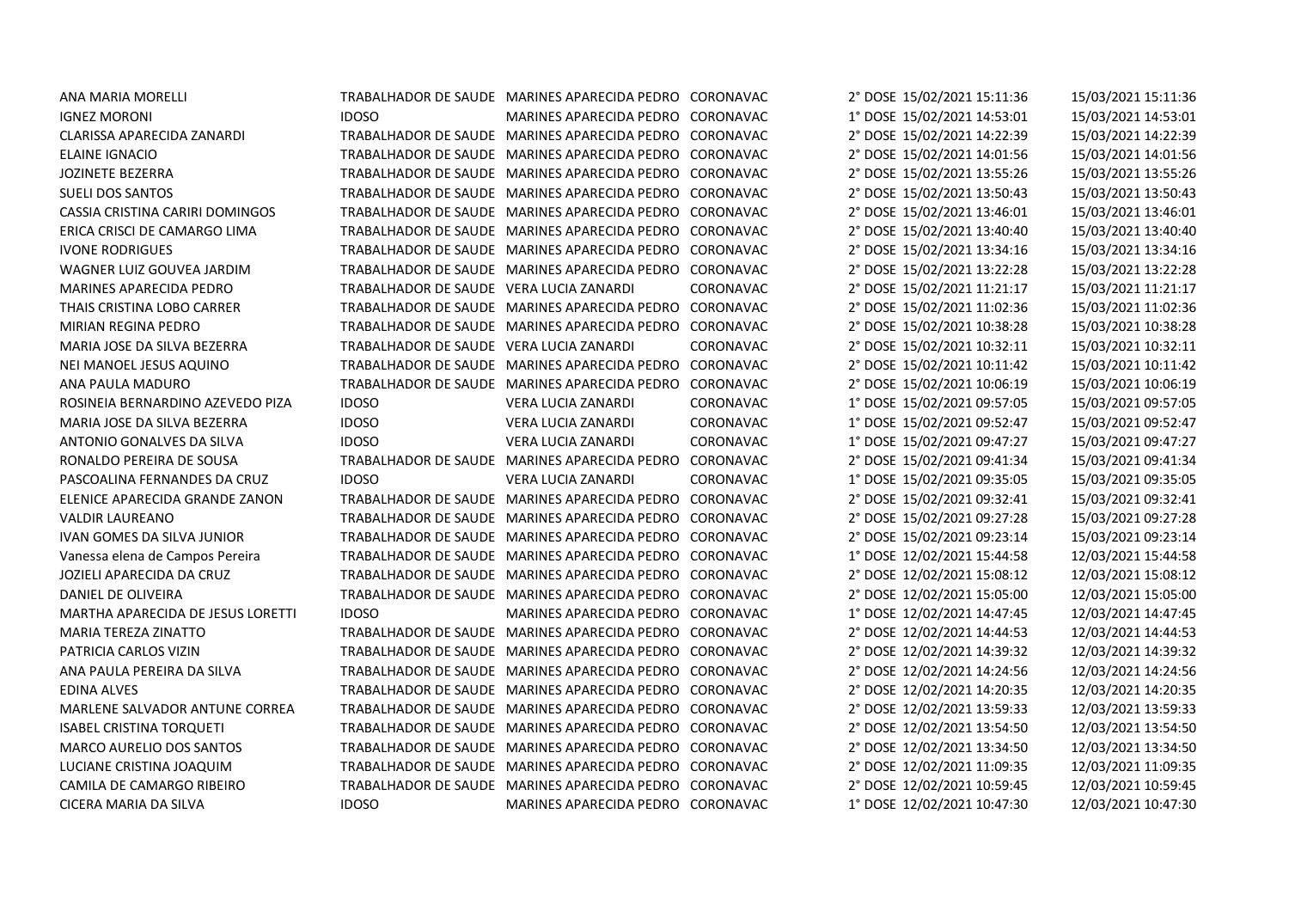| ANA MARIA MORELLI                 |
|-----------------------------------|
| IGNEZ MORONI                      |
| CLARISSA APARECIDA ZANARDI        |
| ELAINE IGNACIO                    |
| <b>JOZINETE BEZERRA</b>           |
| <b>SUELI DOS SANTOS</b>           |
| CASSIA CRISTINA CARIRI DOMINGOS   |
| ERICA CRISCI DE CAMARGO LIMA      |
| <b>IVONE RODRIGUES</b>            |
| WAGNER LUIZ GOUVEA JARDIM         |
| <b>MARINES APARECIDA PEDRO</b>    |
| THAIS CRISTINA LOBO CARRER        |
| MIRIAN REGINA PEDRO               |
| MARIA JOSE DA SILVA BEZERRA       |
| NEI MANOEL JESUS AQUINO           |
| ANA PAULA MADURO                  |
| ROSINEIA BERNARDINO AZEVEDO PIZA  |
| MARIA JOSE DA SILVA BEZERRA       |
| ANTONIO GONALVES DA SILVA         |
| RONALDO PEREIRA DE SOUSA          |
| PASCOALINA FERNANDES DA CRUZ      |
| ELENICE APARECIDA GRANDE ZANON    |
| VALDIR LAUREANO                   |
| IVAN GOMES DA SILVA JUNIOR        |
| Vanessa elena de Campos Pereira   |
| JOZIELI APARECIDA DA CRUZ         |
| DANIEL DE OLIVEIRA                |
| MARTHA APARECIDA DE JESUS LORETTI |
| MARIA TEREZA ZINATTO              |
| PATRICIA CARLOS VIZIN             |
| ANA PAULA PEREIRA DA SILVA        |
| <b>EDINA ALVES</b>                |
| MARLENE SALVADOR ANTUNE CORREA    |
| ISABEL CRISTINA TORQUETI          |
| <b>MARCO AURELIO DOS SANTOS</b>   |
| LUCIANE CRISTINA JOAQUIM          |
| CAMILA DE CAMARGO RIBEIRO         |
| CICERA MARIA DA SILVA             |

|                                         | TRABALHADOR DE SAUDE MARINES APARECIDA PEDRO | CORONAVAC | 2° DOSE 15/02/2021 15:11:36 | 15/03/2021 15:11:36 |
|-----------------------------------------|----------------------------------------------|-----------|-----------------------------|---------------------|
| <b>IDOSO</b>                            | MARINES APARECIDA PEDRO                      | CORONAVAC | 1° DOSE 15/02/2021 14:53:01 | 15/03/2021 14:53:01 |
|                                         | TRABALHADOR DE SAUDE MARINES APARECIDA PEDRO | CORONAVAC | 2° DOSE 15/02/2021 14:22:39 | 15/03/2021 14:22:39 |
| TRABALHADOR DE SAUDE                    | MARINES APARECIDA PEDRO                      | CORONAVAC | 2° DOSE 15/02/2021 14:01:56 | 15/03/2021 14:01:56 |
| TRABALHADOR DE SAUDE                    | <b>MARINES APARECIDA PEDRO</b>               | CORONAVAC | 2° DOSE 15/02/2021 13:55:26 | 15/03/2021 13:55:26 |
| TRABALHADOR DE SAUDE                    | <b>MARINES APARECIDA PEDRO</b>               | CORONAVAC | 2° DOSE 15/02/2021 13:50:43 | 15/03/2021 13:50:43 |
| TRABALHADOR DE SAUDE                    | MARINES APARECIDA PEDRO                      | CORONAVAC | 2° DOSE 15/02/2021 13:46:01 | 15/03/2021 13:46:01 |
| TRABALHADOR DE SAUDE                    | MARINES APARECIDA PEDRO                      | CORONAVAC | 2° DOSE 15/02/2021 13:40:40 | 15/03/2021 13:40:40 |
| TRABALHADOR DE SAUDE                    | MARINES APARECIDA PEDRO                      | CORONAVAC | 2° DOSE 15/02/2021 13:34:16 | 15/03/2021 13:34:16 |
|                                         | TRABALHADOR DE SAUDE MARINES APARECIDA PEDRO | CORONAVAC | 2° DOSE 15/02/2021 13:22:28 | 15/03/2021 13:22:28 |
| TRABALHADOR DE SAUDE VERA LUCIA ZANARDI |                                              | CORONAVAC | 2° DOSE 15/02/2021 11:21:17 | 15/03/2021 11:21:17 |
|                                         | TRABALHADOR DE SAUDE MARINES APARECIDA PEDRO | CORONAVAC | 2° DOSE 15/02/2021 11:02:36 | 15/03/2021 11:02:36 |
|                                         | TRABALHADOR DE SAUDE MARINES APARECIDA PEDRO | CORONAVAC | 2° DOSE 15/02/2021 10:38:28 | 15/03/2021 10:38:28 |
| TRABALHADOR DE SAUDE VERA LUCIA ZANARDI |                                              | CORONAVAC | 2° DOSE 15/02/2021 10:32:11 | 15/03/2021 10:32:11 |
|                                         | TRABALHADOR DE SAUDE MARINES APARECIDA PEDRO | CORONAVAC | 2° DOSE 15/02/2021 10:11:42 | 15/03/2021 10:11:42 |
|                                         | TRABALHADOR DE SAUDE MARINES APARECIDA PEDRO | CORONAVAC | 2° DOSE 15/02/2021 10:06:19 | 15/03/2021 10:06:19 |
| <b>IDOSO</b>                            | VERA LUCIA ZANARDI                           | CORONAVAC | 1° DOSE 15/02/2021 09:57:05 | 15/03/2021 09:57:05 |
| <b>IDOSO</b>                            | VERA LUCIA ZANARDI                           | CORONAVAC | 1° DOSE 15/02/2021 09:52:47 | 15/03/2021 09:52:47 |
| <b>IDOSO</b>                            | VERA LUCIA ZANARDI                           | CORONAVAC | 1° DOSE 15/02/2021 09:47:27 | 15/03/2021 09:47:27 |
|                                         | TRABALHADOR DE SAUDE MARINES APARECIDA PEDRO | CORONAVAC | 2° DOSE 15/02/2021 09:41:34 | 15/03/2021 09:41:34 |
| <b>IDOSO</b>                            | <b>VERA LUCIA ZANARDI</b>                    | CORONAVAC | 1° DOSE 15/02/2021 09:35:05 | 15/03/2021 09:35:05 |
|                                         | TRABALHADOR DE SAUDE MARINES APARECIDA PEDRO | CORONAVAC | 2° DOSE 15/02/2021 09:32:41 | 15/03/2021 09:32:41 |
| TRABALHADOR DE SAUDE                    | <b>MARINES APARECIDA PEDRO</b>               | CORONAVAC | 2° DOSE 15/02/2021 09:27:28 | 15/03/2021 09:27:28 |
|                                         | TRABALHADOR DE SAUDE MARINES APARECIDA PEDRO | CORONAVAC | 2° DOSE 15/02/2021 09:23:14 | 15/03/2021 09:23:14 |
| TRABALHADOR DE SAUDE                    | MARINES APARECIDA PEDRO                      | CORONAVAC | 1° DOSE 12/02/2021 15:44:58 | 12/03/2021 15:44:58 |
| TRABALHADOR DE SAUDE                    | MARINES APARECIDA PEDRO                      | CORONAVAC | 2° DOSE 12/02/2021 15:08:12 | 12/03/2021 15:08:12 |
| TRABALHADOR DE SAUDE                    | MARINES APARECIDA PEDRO                      | CORONAVAC | 2° DOSE 12/02/2021 15:05:00 | 12/03/2021 15:05:00 |
| <b>IDOSO</b>                            | MARINES APARECIDA PEDRO                      | CORONAVAC | 1° DOSE 12/02/2021 14:47:45 | 12/03/2021 14:47:45 |
| <b>TRABALHADOR DE SAUDE</b>             | MARINES APARECIDA PEDRO                      | CORONAVAC | 2° DOSE 12/02/2021 14:44:53 | 12/03/2021 14:44:53 |
| <b>TRABALHADOR DE SAUDE</b>             | MARINES APARECIDA PEDRO                      | CORONAVAC | 2° DOSE 12/02/2021 14:39:32 | 12/03/2021 14:39:32 |
| TRABALHADOR DE SAUDE                    | MARINES APARECIDA PEDRO                      | CORONAVAC | 2° DOSE 12/02/2021 14:24:56 | 12/03/2021 14:24:56 |
| TRABALHADOR DE SAUDE                    | MARINES APARECIDA PEDRO                      | CORONAVAC | 2° DOSE 12/02/2021 14:20:35 | 12/03/2021 14:20:35 |
|                                         | TRABALHADOR DE SAUDE MARINES APARECIDA PEDRO | CORONAVAC | 2° DOSE 12/02/2021 13:59:33 | 12/03/2021 13:59:33 |
|                                         | TRABALHADOR DE SAUDE MARINES APARECIDA PEDRO | CORONAVAC | 2° DOSE 12/02/2021 13:54:50 | 12/03/2021 13:54:50 |
|                                         | TRABALHADOR DE SAUDE MARINES APARECIDA PEDRO | CORONAVAC | 2° DOSE 12/02/2021 13:34:50 | 12/03/2021 13:34:50 |
|                                         | TRABALHADOR DE SAUDE MARINES APARECIDA PEDRO | CORONAVAC | 2° DOSE 12/02/2021 11:09:35 | 12/03/2021 11:09:35 |
|                                         | TRABALHADOR DE SAUDE MARINES APARECIDA PEDRO | CORONAVAC | 2° DOSE 12/02/2021 10:59:45 | 12/03/2021 10:59:45 |
| <b>IDOSO</b>                            | MARINES APARECIDA PEDRO                      | CORONAVAC | 1° DOSE 12/02/2021 10:47:30 | 12/03/2021 10:47:30 |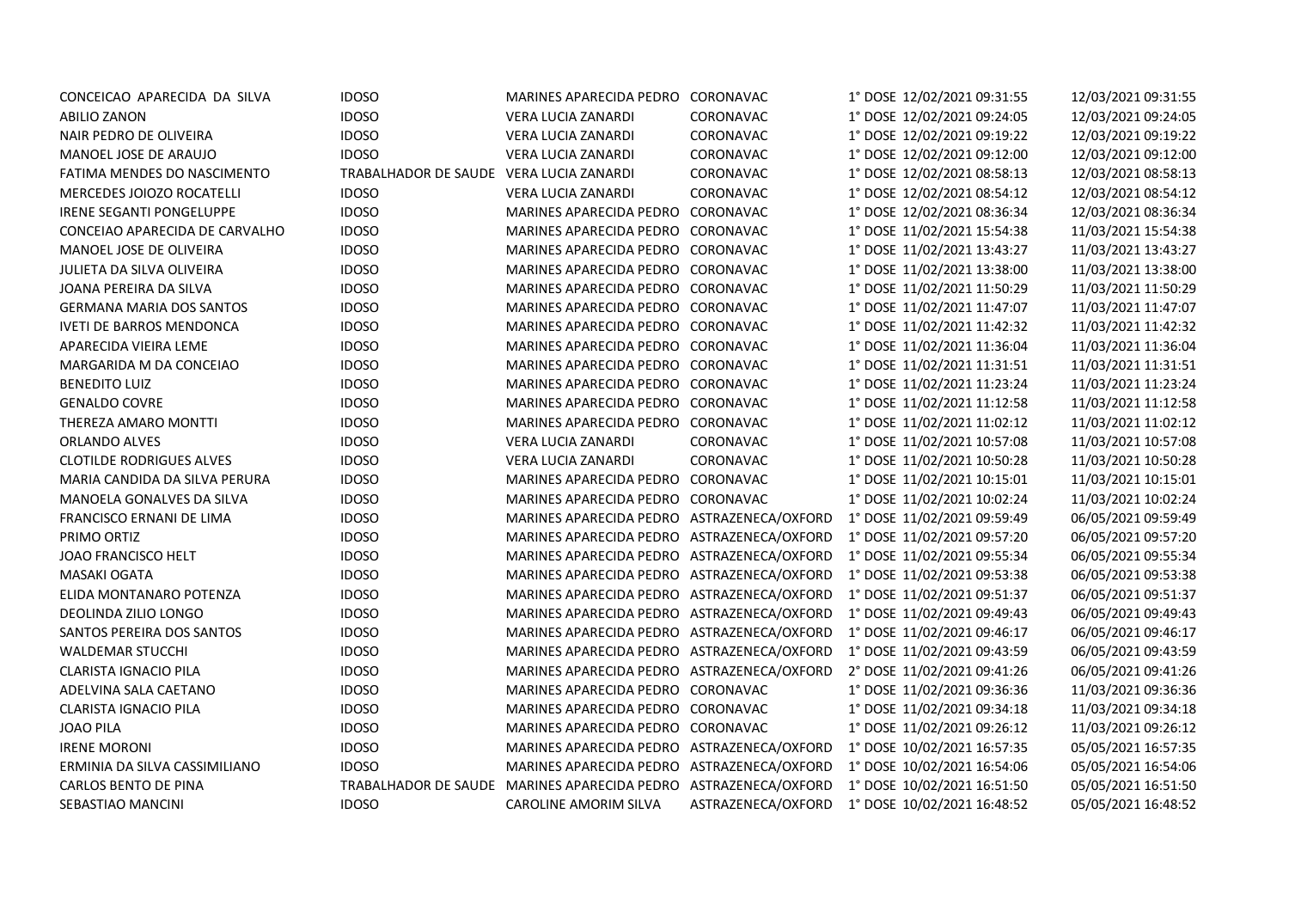| CONCEICAO APARECIDA DA SILVA     | <b>IDOSO</b>                            | MARINES APARECIDA PEDRO CORONAVAC            |                    | 1° DOSE 12/02/2021 09:31:55 | 12/03/2021 09:31:55 |
|----------------------------------|-----------------------------------------|----------------------------------------------|--------------------|-----------------------------|---------------------|
| <b>ABILIO ZANON</b>              | <b>IDOSO</b>                            | VERA LUCIA ZANARDI                           | CORONAVAC          | 1° DOSE 12/02/2021 09:24:05 | 12/03/2021 09:24:05 |
| NAIR PEDRO DE OLIVEIRA           | <b>IDOSO</b>                            | VERA LUCIA ZANARDI                           | CORONAVAC          | 1° DOSE 12/02/2021 09:19:22 | 12/03/2021 09:19:22 |
| MANOEL JOSE DE ARAUJO            | <b>IDOSO</b>                            | VERA LUCIA ZANARDI                           | CORONAVAC          | 1° DOSE 12/02/2021 09:12:00 | 12/03/2021 09:12:00 |
| FATIMA MENDES DO NASCIMENTO      | TRABALHADOR DE SAUDE VERA LUCIA ZANARDI |                                              | CORONAVAC          | 1° DOSE 12/02/2021 08:58:13 | 12/03/2021 08:58:13 |
| MERCEDES JOIOZO ROCATELLI        | <b>IDOSO</b>                            | VERA LUCIA ZANARDI                           | CORONAVAC          | 1° DOSE 12/02/2021 08:54:12 | 12/03/2021 08:54:12 |
| IRENE SEGANTI PONGELUPPE         | <b>IDOSO</b>                            | MARINES APARECIDA PEDRO                      | CORONAVAC          | 1° DOSE 12/02/2021 08:36:34 | 12/03/2021 08:36:34 |
| CONCEIAO APARECIDA DE CARVALHO   | <b>IDOSO</b>                            | MARINES APARECIDA PEDRO                      | CORONAVAC          | 1° DOSE 11/02/2021 15:54:38 | 11/03/2021 15:54:38 |
| MANOEL JOSE DE OLIVEIRA          | <b>IDOSO</b>                            | MARINES APARECIDA PEDRO                      | CORONAVAC          | 1° DOSE 11/02/2021 13:43:27 | 11/03/2021 13:43:27 |
| <b>JULIETA DA SILVA OLIVEIRA</b> | <b>IDOSO</b>                            | MARINES APARECIDA PEDRO                      | CORONAVAC          | 1° DOSE 11/02/2021 13:38:00 | 11/03/2021 13:38:00 |
| JOANA PEREIRA DA SILVA           | <b>IDOSO</b>                            | MARINES APARECIDA PEDRO                      | CORONAVAC          | 1° DOSE 11/02/2021 11:50:29 | 11/03/2021 11:50:29 |
| <b>GERMANA MARIA DOS SANTOS</b>  | <b>IDOSO</b>                            | MARINES APARECIDA PEDRO                      | CORONAVAC          | 1° DOSE 11/02/2021 11:47:07 | 11/03/2021 11:47:07 |
| <b>IVETI DE BARROS MENDONCA</b>  | <b>IDOSO</b>                            | MARINES APARECIDA PEDRO                      | CORONAVAC          | 1° DOSE 11/02/2021 11:42:32 | 11/03/2021 11:42:32 |
| APARECIDA VIEIRA LEME            | <b>IDOSO</b>                            | MARINES APARECIDA PEDRO                      | CORONAVAC          | 1° DOSE 11/02/2021 11:36:04 | 11/03/2021 11:36:04 |
| MARGARIDA M DA CONCEIAO          | <b>IDOSO</b>                            | MARINES APARECIDA PEDRO                      | CORONAVAC          | 1° DOSE 11/02/2021 11:31:51 | 11/03/2021 11:31:51 |
| <b>BENEDITO LUIZ</b>             | <b>IDOSO</b>                            | MARINES APARECIDA PEDRO                      | CORONAVAC          | 1° DOSE 11/02/2021 11:23:24 | 11/03/2021 11:23:24 |
| <b>GENALDO COVRE</b>             | <b>IDOSO</b>                            | MARINES APARECIDA PEDRO                      | CORONAVAC          | 1° DOSE 11/02/2021 11:12:58 | 11/03/2021 11:12:58 |
| THEREZA AMARO MONTTI             | <b>IDOSO</b>                            | MARINES APARECIDA PEDRO                      | CORONAVAC          | 1° DOSE 11/02/2021 11:02:12 | 11/03/2021 11:02:12 |
| <b>ORLANDO ALVES</b>             | <b>IDOSO</b>                            | VERA LUCIA ZANARDI                           | CORONAVAC          | 1° DOSE 11/02/2021 10:57:08 | 11/03/2021 10:57:08 |
| <b>CLOTILDE RODRIGUES ALVES</b>  | <b>IDOSO</b>                            | VERA LUCIA ZANARDI                           | CORONAVAC          | 1° DOSE 11/02/2021 10:50:28 | 11/03/2021 10:50:28 |
| MARIA CANDIDA DA SILVA PERURA    | <b>IDOSO</b>                            | MARINES APARECIDA PEDRO                      | CORONAVAC          | 1° DOSE 11/02/2021 10:15:01 | 11/03/2021 10:15:01 |
| MANOELA GONALVES DA SILVA        | <b>IDOSO</b>                            | MARINES APARECIDA PEDRO                      | CORONAVAC          | 1° DOSE 11/02/2021 10:02:24 | 11/03/2021 10:02:24 |
| FRANCISCO ERNANI DE LIMA         | <b>IDOSO</b>                            | MARINES APARECIDA PEDRO                      | ASTRAZENECA/OXFORD | 1° DOSE 11/02/2021 09:59:49 | 06/05/2021 09:59:49 |
| PRIMO ORTIZ                      | <b>IDOSO</b>                            | MARINES APARECIDA PEDRO                      | ASTRAZENECA/OXFORD | 1° DOSE 11/02/2021 09:57:20 | 06/05/2021 09:57:20 |
| <b>JOAO FRANCISCO HELT</b>       | <b>IDOSO</b>                            | MARINES APARECIDA PEDRO                      | ASTRAZENECA/OXFORD | 1° DOSE 11/02/2021 09:55:34 | 06/05/2021 09:55:34 |
| <b>MASAKI OGATA</b>              | <b>IDOSO</b>                            | MARINES APARECIDA PEDRO                      | ASTRAZENECA/OXFORD | 1° DOSE 11/02/2021 09:53:38 | 06/05/2021 09:53:38 |
| ELIDA MONTANARO POTENZA          | <b>IDOSO</b>                            | MARINES APARECIDA PEDRO                      | ASTRAZENECA/OXFORD | 1° DOSE 11/02/2021 09:51:37 | 06/05/2021 09:51:37 |
| DEOLINDA ZILIO LONGO             | <b>IDOSO</b>                            | MARINES APARECIDA PEDRO                      | ASTRAZENECA/OXFORD | 1° DOSE 11/02/2021 09:49:43 | 06/05/2021 09:49:43 |
| SANTOS PEREIRA DOS SANTOS        | <b>IDOSO</b>                            | MARINES APARECIDA PEDRO                      | ASTRAZENECA/OXFORD | 1° DOSE 11/02/2021 09:46:17 | 06/05/2021 09:46:17 |
| <b>WALDEMAR STUCCHI</b>          | <b>IDOSO</b>                            | MARINES APARECIDA PEDRO                      | ASTRAZENECA/OXFORD | 1° DOSE 11/02/2021 09:43:59 | 06/05/2021 09:43:59 |
| <b>CLARISTA IGNACIO PILA</b>     | <b>IDOSO</b>                            | MARINES APARECIDA PEDRO                      | ASTRAZENECA/OXFORD | 2° DOSE 11/02/2021 09:41:26 | 06/05/2021 09:41:26 |
| ADELVINA SALA CAETANO            | <b>IDOSO</b>                            | MARINES APARECIDA PEDRO                      | CORONAVAC          | 1° DOSE 11/02/2021 09:36:36 | 11/03/2021 09:36:36 |
| <b>CLARISTA IGNACIO PILA</b>     | <b>IDOSO</b>                            | MARINES APARECIDA PEDRO                      | CORONAVAC          | 1° DOSE 11/02/2021 09:34:18 | 11/03/2021 09:34:18 |
| <b>JOAO PILA</b>                 | <b>IDOSO</b>                            | MARINES APARECIDA PEDRO                      | CORONAVAC          | 1° DOSE 11/02/2021 09:26:12 | 11/03/2021 09:26:12 |
| <b>IRENE MORONI</b>              | <b>IDOSO</b>                            | MARINES APARECIDA PEDRO                      | ASTRAZENECA/OXFORD | 1° DOSE 10/02/2021 16:57:35 | 05/05/2021 16:57:35 |
| ERMINIA DA SILVA CASSIMILIANO    | <b>IDOSO</b>                            | MARINES APARECIDA PEDRO                      | ASTRAZENECA/OXFORD | 1° DOSE 10/02/2021 16:54:06 | 05/05/2021 16:54:06 |
| CARLOS BENTO DE PINA             |                                         | TRABALHADOR DE SAUDE MARINES APARECIDA PEDRO | ASTRAZENECA/OXFORD | 1° DOSE 10/02/2021 16:51:50 | 05/05/2021 16:51:50 |
| SEBASTIAO MANCINI                | <b>IDOSO</b>                            | CAROLINE AMORIM SILVA                        | ASTRAZENECA/OXFORD | 1° DOSE 10/02/2021 16:48:52 | 05/05/2021 16:48:52 |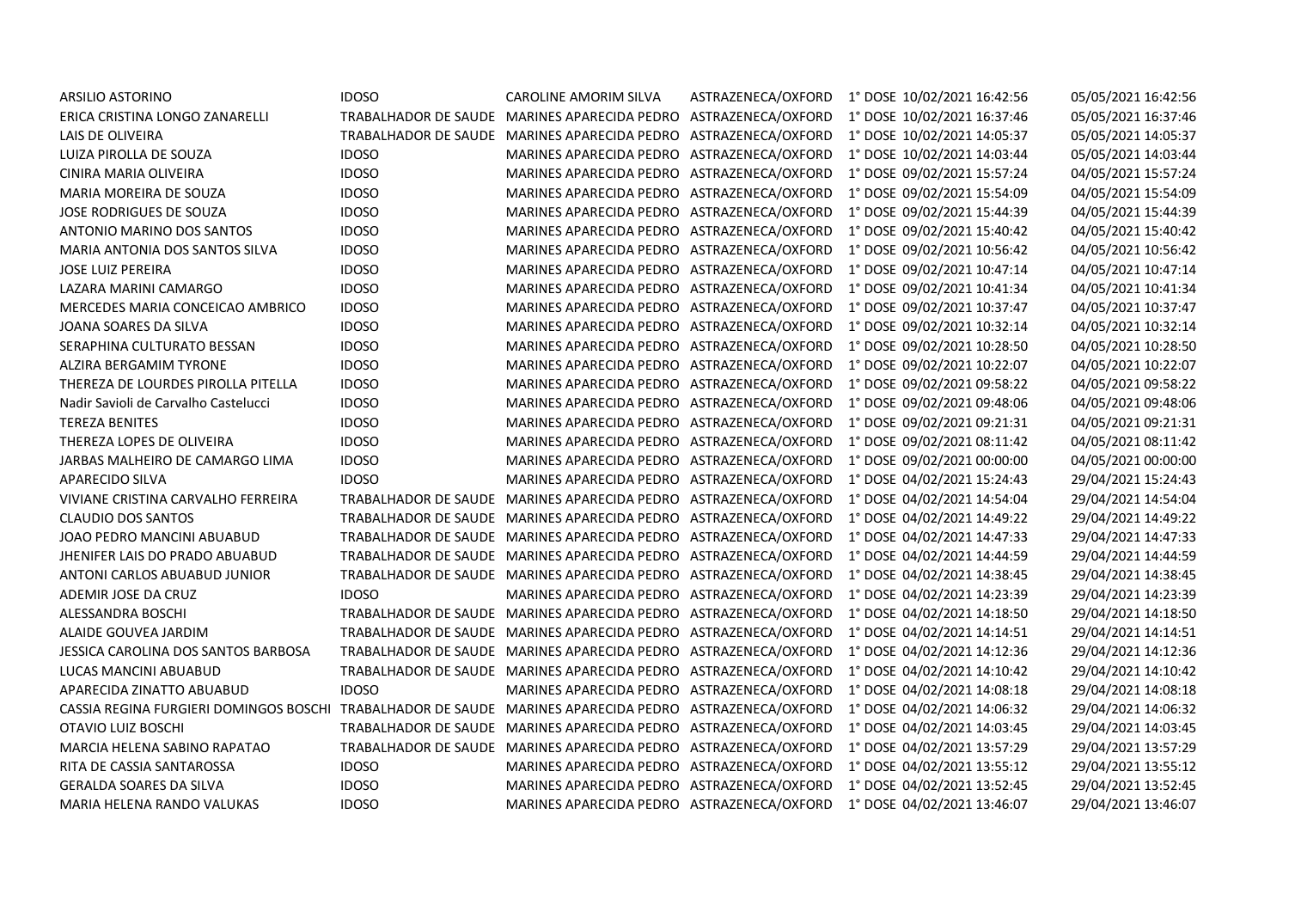| ARSILIO ASTORINO                       | <b>IDOSO</b> | CAROLINE AMORIM SILVA                        | ASTRAZENECA/OXFORD | 1° DOSE 10/02/2021 16:42:56 | 05/05/2021 16:42:56 |
|----------------------------------------|--------------|----------------------------------------------|--------------------|-----------------------------|---------------------|
| ERICA CRISTINA LONGO ZANARELLI         |              | TRABALHADOR DE SAUDE MARINES APARECIDA PEDRO | ASTRAZENECA/OXFORD | 1° DOSE 10/02/2021 16:37:46 | 05/05/2021 16:37:46 |
| LAIS DE OLIVEIRA                       |              | TRABALHADOR DE SAUDE MARINES APARECIDA PEDRO | ASTRAZENECA/OXFORD | 1° DOSE 10/02/2021 14:05:37 | 05/05/2021 14:05:37 |
| LUIZA PIROLLA DE SOUZA                 | <b>IDOSO</b> | MARINES APARECIDA PEDRO                      | ASTRAZENECA/OXFORD | 1° DOSE 10/02/2021 14:03:44 | 05/05/2021 14:03:44 |
| CINIRA MARIA OLIVEIRA                  | <b>IDOSO</b> | MARINES APARECIDA PEDRO                      | ASTRAZENECA/OXFORD | 1° DOSE 09/02/2021 15:57:24 | 04/05/2021 15:57:24 |
| MARIA MOREIRA DE SOUZA                 | <b>IDOSO</b> | MARINES APARECIDA PEDRO                      | ASTRAZENECA/OXFORD | 1° DOSE 09/02/2021 15:54:09 | 04/05/2021 15:54:09 |
| JOSE RODRIGUES DE SOUZA                | <b>IDOSO</b> | MARINES APARECIDA PEDRO                      | ASTRAZENECA/OXFORD | 1° DOSE 09/02/2021 15:44:39 | 04/05/2021 15:44:39 |
| ANTONIO MARINO DOS SANTOS              | <b>IDOSO</b> | MARINES APARECIDA PEDRO                      | ASTRAZENECA/OXFORD | 1° DOSE 09/02/2021 15:40:42 | 04/05/2021 15:40:42 |
| MARIA ANTONIA DOS SANTOS SILVA         | <b>IDOSO</b> | MARINES APARECIDA PEDRO                      | ASTRAZENECA/OXFORD | 1° DOSE 09/02/2021 10:56:42 | 04/05/2021 10:56:42 |
| <b>JOSE LUIZ PEREIRA</b>               | <b>IDOSO</b> | <b>MARINES APARECIDA PEDRO</b>               | ASTRAZENECA/OXFORD | 1° DOSE 09/02/2021 10:47:14 | 04/05/2021 10:47:14 |
| LAZARA MARINI CAMARGO                  | <b>IDOSO</b> | MARINES APARECIDA PEDRO                      | ASTRAZENECA/OXFORD | 1° DOSE 09/02/2021 10:41:34 | 04/05/2021 10:41:34 |
| MERCEDES MARIA CONCEICAO AMBRICO       | <b>IDOSO</b> | MARINES APARECIDA PEDRO                      | ASTRAZENECA/OXFORD | 1° DOSE 09/02/2021 10:37:47 | 04/05/2021 10:37:47 |
| JOANA SOARES DA SILVA                  | <b>IDOSO</b> | MARINES APARECIDA PEDRO                      | ASTRAZENECA/OXFORD | 1° DOSE 09/02/2021 10:32:14 | 04/05/2021 10:32:14 |
| SERAPHINA CULTURATO BESSAN             | <b>IDOSO</b> | MARINES APARECIDA PEDRO                      | ASTRAZENECA/OXFORD | 1° DOSE 09/02/2021 10:28:50 | 04/05/2021 10:28:50 |
| ALZIRA BERGAMIM TYRONE                 | <b>IDOSO</b> | MARINES APARECIDA PEDRO                      | ASTRAZENECA/OXFORD | 1° DOSE 09/02/2021 10:22:07 | 04/05/2021 10:22:07 |
| THEREZA DE LOURDES PIROLLA PITELLA     | <b>IDOSO</b> | MARINES APARECIDA PEDRO                      | ASTRAZENECA/OXFORD | 1° DOSE 09/02/2021 09:58:22 | 04/05/2021 09:58:22 |
| Nadir Savioli de Carvalho Castelucci   | <b>IDOSO</b> | MARINES APARECIDA PEDRO                      | ASTRAZENECA/OXFORD | 1° DOSE 09/02/2021 09:48:06 | 04/05/2021 09:48:06 |
| <b>TEREZA BENITES</b>                  | <b>IDOSO</b> | MARINES APARECIDA PEDRO                      | ASTRAZENECA/OXFORD | 1° DOSE 09/02/2021 09:21:31 | 04/05/2021 09:21:31 |
| THEREZA LOPES DE OLIVEIRA              | <b>IDOSO</b> | MARINES APARECIDA PEDRO                      | ASTRAZENECA/OXFORD | 1° DOSE 09/02/2021 08:11:42 | 04/05/2021 08:11:42 |
| JARBAS MALHEIRO DE CAMARGO LIMA        | <b>IDOSO</b> | MARINES APARECIDA PEDRO                      | ASTRAZENECA/OXFORD | 1° DOSE 09/02/2021 00:00:00 | 04/05/2021 00:00:00 |
| <b>APARECIDO SILVA</b>                 | <b>IDOSO</b> | MARINES APARECIDA PEDRO                      | ASTRAZENECA/OXFORD | 1° DOSE 04/02/2021 15:24:43 | 29/04/2021 15:24:43 |
| VIVIANE CRISTINA CARVALHO FERREIRA     |              | TRABALHADOR DE SAUDE MARINES APARECIDA PEDRO | ASTRAZENECA/OXFORD | 1° DOSE 04/02/2021 14:54:04 | 29/04/2021 14:54:04 |
| <b>CLAUDIO DOS SANTOS</b>              |              | TRABALHADOR DE SAUDE MARINES APARECIDA PEDRO | ASTRAZENECA/OXFORD | 1° DOSE 04/02/2021 14:49:22 | 29/04/2021 14:49:22 |
| JOAO PEDRO MANCINI ABUABUD             |              | TRABALHADOR DE SAUDE MARINES APARECIDA PEDRO | ASTRAZENECA/OXFORD | 1° DOSE 04/02/2021 14:47:33 | 29/04/2021 14:47:33 |
| <b>JHENIFER LAIS DO PRADO ABUABUD</b>  |              | TRABALHADOR DE SAUDE MARINES APARECIDA PEDRO | ASTRAZENECA/OXFORD | 1° DOSE 04/02/2021 14:44:59 | 29/04/2021 14:44:59 |
| ANTONI CARLOS ABUABUD JUNIOR           |              | TRABALHADOR DE SAUDE MARINES APARECIDA PEDRO | ASTRAZENECA/OXFORD | 1° DOSE 04/02/2021 14:38:45 | 29/04/2021 14:38:45 |
| ADEMIR JOSE DA CRUZ                    | <b>IDOSO</b> | MARINES APARECIDA PEDRO                      | ASTRAZENECA/OXFORD | 1° DOSE 04/02/2021 14:23:39 | 29/04/2021 14:23:39 |
| ALESSANDRA BOSCHI                      |              | TRABALHADOR DE SAUDE MARINES APARECIDA PEDRO | ASTRAZENECA/OXFORD | 1° DOSE 04/02/2021 14:18:50 | 29/04/2021 14:18:50 |
| ALAIDE GOUVEA JARDIM                   |              | TRABALHADOR DE SAUDE MARINES APARECIDA PEDRO | ASTRAZENECA/OXFORD | 1° DOSE 04/02/2021 14:14:51 | 29/04/2021 14:14:51 |
| JESSICA CAROLINA DOS SANTOS BARBOSA    |              | TRABALHADOR DE SAUDE MARINES APARECIDA PEDRO | ASTRAZENECA/OXFORD | 1° DOSE 04/02/2021 14:12:36 | 29/04/2021 14:12:36 |
| LUCAS MANCINI ABUABUD                  |              | TRABALHADOR DE SAUDE MARINES APARECIDA PEDRO | ASTRAZENECA/OXFORD | 1° DOSE 04/02/2021 14:10:42 | 29/04/2021 14:10:42 |
| APARECIDA ZINATTO ABUABUD              | <b>IDOSO</b> | <b>MARINES APARECIDA PEDRO</b>               | ASTRAZENECA/OXFORD | 1° DOSE 04/02/2021 14:08:18 | 29/04/2021 14:08:18 |
| CASSIA REGINA FURGIERI DOMINGOS BOSCHI |              | TRABALHADOR DE SAUDE MARINES APARECIDA PEDRO | ASTRAZENECA/OXFORD | 1° DOSE 04/02/2021 14:06:32 | 29/04/2021 14:06:32 |
| OTAVIO LUIZ BOSCHI                     |              | TRABALHADOR DE SAUDE MARINES APARECIDA PEDRO | ASTRAZENECA/OXFORD | 1° DOSE 04/02/2021 14:03:45 | 29/04/2021 14:03:45 |
| MARCIA HELENA SABINO RAPATAO           |              | TRABALHADOR DE SAUDE MARINES APARECIDA PEDRO | ASTRAZENECA/OXFORD | 1° DOSE 04/02/2021 13:57:29 | 29/04/2021 13:57:29 |
| RITA DE CASSIA SANTAROSSA              | <b>IDOSO</b> | MARINES APARECIDA PEDRO                      | ASTRAZENECA/OXFORD | 1° DOSE 04/02/2021 13:55:12 | 29/04/2021 13:55:12 |
| <b>GERALDA SOARES DA SILVA</b>         | <b>IDOSO</b> | MARINES APARECIDA PEDRO                      | ASTRAZENECA/OXFORD | 1° DOSE 04/02/2021 13:52:45 | 29/04/2021 13:52:45 |
| MARIA HELENA RANDO VALUKAS             | <b>IDOSO</b> | MARINES APARECIDA PEDRO ASTRAZENECA/OXFORD   |                    | 1° DOSE 04/02/2021 13:46:07 | 29/04/2021 13:46:07 |
|                                        |              |                                              |                    |                             |                     |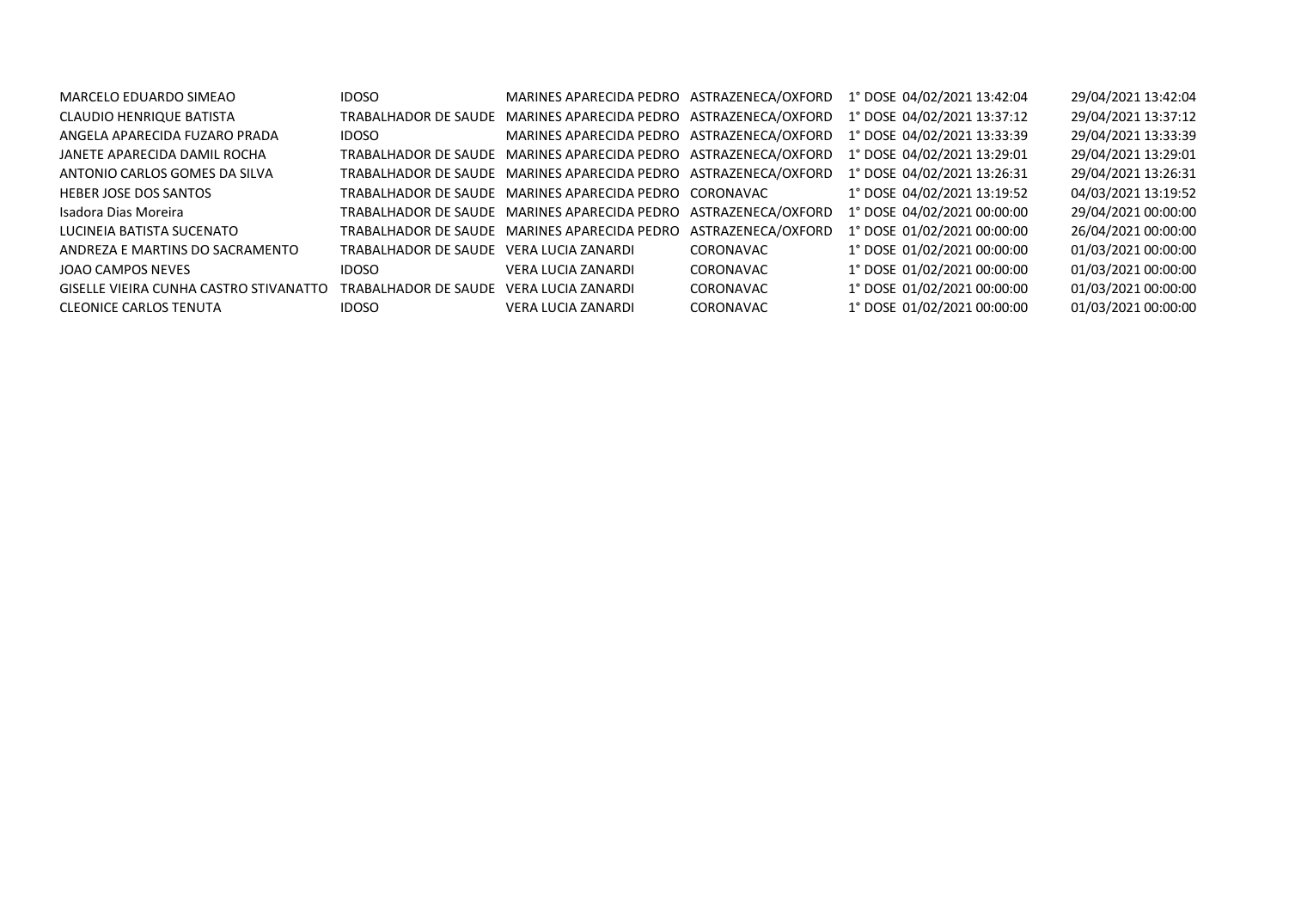| MARCELO EDUARDO SIMEAO                 | <b>IDOSO</b>                            |                                                                 |                    | MARINES APARECIDA PEDRO ASTRAZENECA/OXFORD 1° DOSE 04/02/2021 13:42:04 | 29/04/2021 13:42:04 |
|----------------------------------------|-----------------------------------------|-----------------------------------------------------------------|--------------------|------------------------------------------------------------------------|---------------------|
| CLAUDIO HENRIQUE BATISTA               | TRABALHADOR DE SAUDE                    | MARINES APARECIDA PEDRO ASTRAZENECA/OXFORD                      |                    | 1° DOSE 04/02/2021 13:37:12                                            | 29/04/2021 13:37:12 |
| ANGELA APARECIDA FUZARO PRADA          | IDOSO                                   | MARINES APARECIDA PEDRO ASTRAZENECA/OXFORD                      |                    | 1° DOSE 04/02/2021 13:33:39                                            | 29/04/2021 13:33:39 |
| JANETE APARECIDA DAMIL ROCHA           |                                         | TRABALHADOR DE SAUDE MARINES APARECIDA PEDRO ASTRAZENECA/OXFORD |                    | 1° DOSE 04/02/2021 13:29:01                                            | 29/04/2021 13:29:01 |
| ANTONIO CARLOS GOMES DA SILVA          |                                         | TRABALHADOR DE SAUDE MARINES APARECIDA PEDRO ASTRAZENECA/OXFORD |                    | 1° DOSE 04/02/2021 13:26:31                                            | 29/04/2021 13:26:31 |
| HEBER JOSE DOS SANTOS                  |                                         | TRABALHADOR DE SAUDE MARINES APARECIDA PEDRO CORONAVAC          |                    | 1° DOSE 04/02/2021 13:19:52                                            | 04/03/2021 13:19:52 |
| Isadora Dias Moreira                   |                                         | TRABALHADOR DE SAUDE MARINES APARECIDA PEDRO                    | ASTRAZENECA/OXFORD | 1° DOSE 04/02/2021 00:00:00                                            | 29/04/2021 00:00:00 |
| LUCINEIA BATISTA SUCENATO              |                                         | TRABALHADOR DE SAUDE MARINES APARECIDA PEDRO                    | ASTRAZENECA/OXFORD | 1° DOSE 01/02/2021 00:00:00                                            | 26/04/2021 00:00:00 |
| ANDREZA E MARTINS DO SACRAMENTO        | TRABALHADOR DE SAUDE VERA LUCIA ZANARDI |                                                                 | <b>CORONAVAC</b>   | 1° DOSE 01/02/2021 00:00:00                                            | 01/03/2021 00:00:00 |
| JOAO CAMPOS NEVES                      | IDOSO                                   | VERA LUCIA ZANARDI                                              | CORONAVAC          | 1° DOSE 01/02/2021 00:00:00                                            | 01/03/2021 00:00:00 |
| GISELLE VIEIRA CUNHA CASTRO STIVANATTO | TRABALHADOR DE SAUDE VERA LUCIA ZANARDI |                                                                 | CORONAVAC          | 1° DOSE 01/02/2021 00:00:00                                            | 01/03/2021 00:00:00 |
| <b>CLEONICE CARLOS TENUTA</b>          | IDOSO                                   | <b>VERA LUCIA ZANARDI</b>                                       | CORONAVAC          | 1° DOSE 01/02/2021 00:00:00                                            | 01/03/2021 00:00:00 |